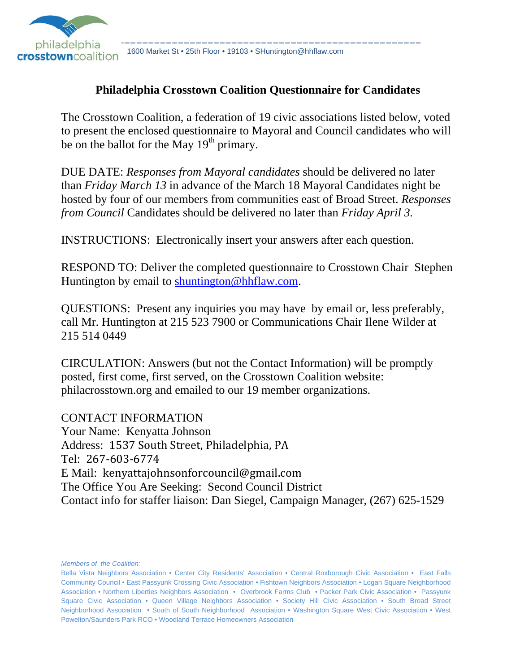

1600 Market St • 25th Floor • 19103 • SHuntington@hhflaw.com

#### **Philadelphia Crosstown Coalition Questionnaire for Candidates**

The Crosstown Coalition, a federation of 19 civic associations listed below, voted to present the enclosed questionnaire to Mayoral and Council candidates who will be on the ballot for the May  $19<sup>th</sup>$  primary.

DUE DATE: *Responses from Mayoral candidates* should be delivered no later than *Friday March 13* in advance of the March 18 Mayoral Candidates night be hosted by four of our members from communities east of Broad Street. *Responses from Council* Candidates should be delivered no later than *Friday April 3.*

INSTRUCTIONS: Electronically insert your answers after each question.

RESPOND TO: Deliver the completed questionnaire to Crosstown Chair Stephen Huntington by email to shuntington@hhflaw.com.

QUESTIONS: Present any inquiries you may have by email or, less preferably, call Mr. Huntington at 215 523 7900 or Communications Chair Ilene Wilder at 215 514 0449

CIRCULATION: Answers (but not the Contact Information) will be promptly posted, first come, first served, on the Crosstown Coalition website: philacrosstown.org and emailed to our 19 member organizations.

CONTACT INFORMATION Your Name: Kenyatta Johnson Address: 1537 South Street, Philadelphia, PA Tel: 267‐603‐6774 E Mail: kenyattajohnsonforcouncil@gmail.com The Office You Are Seeking: Second Council District Contact info for staffer liaison: Dan Siegel, Campaign Manager, (267) 625-1529

*Members of the Coalition:*

Bella Vista Neighbors Association • Center City Residents' Association • Central Roxborough Civic Association • East Falls Community Council • East Passyunk Crossing Civic Association • Fishtown Neighbors Association • Logan Square Neighborhood Association • Northern Liberties Neighbors Association • Overbrook Farms Club • Packer Park Civic Association • Passyunk Square Civic Association • Queen Village Neighbors Association • Society Hill Civic Association • South Broad Street Neighborhood Association • South of South Neighborhood Association • Washington Square West Civic Association • West Powelton/Saunders Park RCO • Woodland Terrace Homeowners Association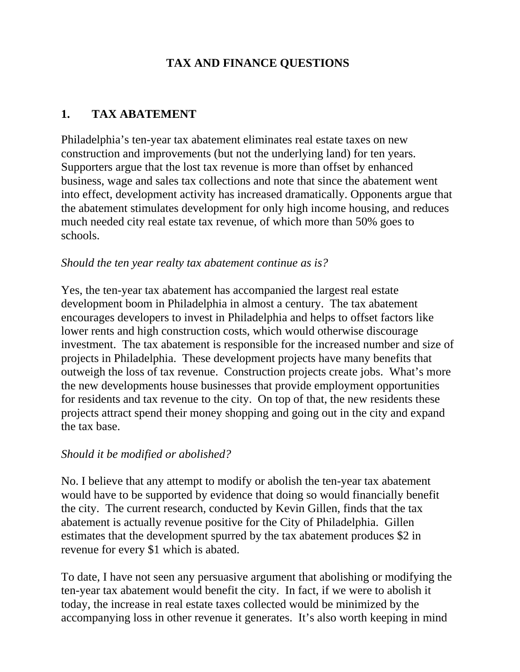# **TAX AND FINANCE QUESTIONS**

#### **1. TAX ABATEMENT**

Philadelphia's ten-year tax abatement eliminates real estate taxes on new construction and improvements (but not the underlying land) for ten years. Supporters argue that the lost tax revenue is more than offset by enhanced business, wage and sales tax collections and note that since the abatement went into effect, development activity has increased dramatically. Opponents argue that the abatement stimulates development for only high income housing, and reduces much needed city real estate tax revenue, of which more than 50% goes to schools.

#### *Should the ten year realty tax abatement continue as is?*

Yes, the ten-year tax abatement has accompanied the largest real estate development boom in Philadelphia in almost a century. The tax abatement encourages developers to invest in Philadelphia and helps to offset factors like lower rents and high construction costs, which would otherwise discourage investment. The tax abatement is responsible for the increased number and size of projects in Philadelphia. These development projects have many benefits that outweigh the loss of tax revenue. Construction projects create jobs. What's more the new developments house businesses that provide employment opportunities for residents and tax revenue to the city. On top of that, the new residents these projects attract spend their money shopping and going out in the city and expand the tax base.

#### *Should it be modified or abolished?*

No. I believe that any attempt to modify or abolish the ten-year tax abatement would have to be supported by evidence that doing so would financially benefit the city. The current research, conducted by Kevin Gillen, finds that the tax abatement is actually revenue positive for the City of Philadelphia. Gillen estimates that the development spurred by the tax abatement produces \$2 in revenue for every \$1 which is abated.

To date, I have not seen any persuasive argument that abolishing or modifying the ten-year tax abatement would benefit the city. In fact, if we were to abolish it today, the increase in real estate taxes collected would be minimized by the accompanying loss in other revenue it generates. It's also worth keeping in mind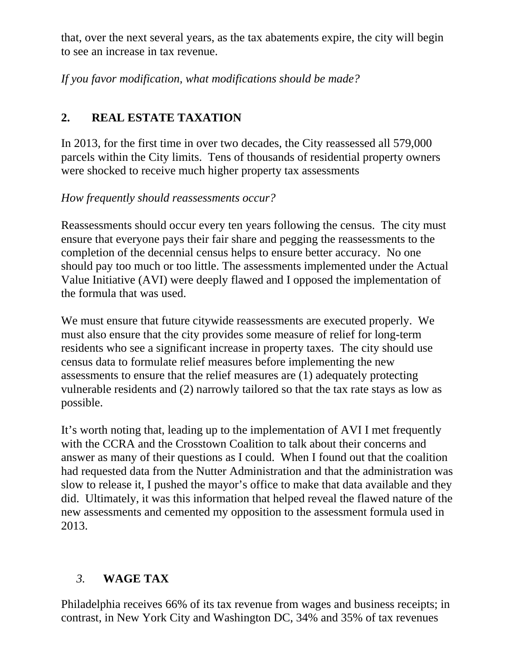that, over the next several years, as the tax abatements expire, the city will begin to see an increase in tax revenue.

*If you favor modification, what modifications should be made?*

# **2. REAL ESTATE TAXATION**

In 2013, for the first time in over two decades, the City reassessed all 579,000 parcels within the City limits. Tens of thousands of residential property owners were shocked to receive much higher property tax assessments

*How frequently should reassessments occur?* 

Reassessments should occur every ten years following the census. The city must ensure that everyone pays their fair share and pegging the reassessments to the completion of the decennial census helps to ensure better accuracy. No one should pay too much or too little. The assessments implemented under the Actual Value Initiative (AVI) were deeply flawed and I opposed the implementation of the formula that was used.

We must ensure that future citywide reassessments are executed properly. We must also ensure that the city provides some measure of relief for long-term residents who see a significant increase in property taxes. The city should use census data to formulate relief measures before implementing the new assessments to ensure that the relief measures are (1) adequately protecting vulnerable residents and (2) narrowly tailored so that the tax rate stays as low as possible.

It's worth noting that, leading up to the implementation of AVI I met frequently with the CCRA and the Crosstown Coalition to talk about their concerns and answer as many of their questions as I could. When I found out that the coalition had requested data from the Nutter Administration and that the administration was slow to release it, I pushed the mayor's office to make that data available and they did. Ultimately, it was this information that helped reveal the flawed nature of the new assessments and cemented my opposition to the assessment formula used in 2013.

# *3.* **WAGE TAX**

Philadelphia receives 66% of its tax revenue from wages and business receipts; in contrast, in New York City and Washington DC, 34% and 35% of tax revenues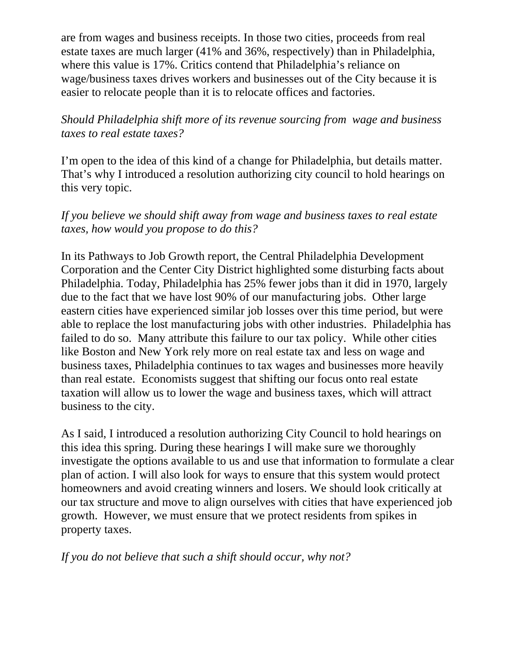are from wages and business receipts. In those two cities, proceeds from real estate taxes are much larger (41% and 36%, respectively) than in Philadelphia, where this value is 17%. Critics contend that Philadelphia's reliance on wage/business taxes drives workers and businesses out of the City because it is easier to relocate people than it is to relocate offices and factories.

#### *Should Philadelphia shift more of its revenue sourcing from wage and business taxes to real estate taxes?*

I'm open to the idea of this kind of a change for Philadelphia, but details matter. That's why I introduced a resolution authorizing city council to hold hearings on this very topic.

#### *If you believe we should shift away from wage and business taxes to real estate taxes, how would you propose to do this?*

In its Pathways to Job Growth report, the Central Philadelphia Development Corporation and the Center City District highlighted some disturbing facts about Philadelphia. Today, Philadelphia has 25% fewer jobs than it did in 1970, largely due to the fact that we have lost 90% of our manufacturing jobs. Other large eastern cities have experienced similar job losses over this time period, but were able to replace the lost manufacturing jobs with other industries. Philadelphia has failed to do so. Many attribute this failure to our tax policy. While other cities like Boston and New York rely more on real estate tax and less on wage and business taxes, Philadelphia continues to tax wages and businesses more heavily than real estate. Economists suggest that shifting our focus onto real estate taxation will allow us to lower the wage and business taxes, which will attract business to the city.

As I said, I introduced a resolution authorizing City Council to hold hearings on this idea this spring. During these hearings I will make sure we thoroughly investigate the options available to us and use that information to formulate a clear plan of action. I will also look for ways to ensure that this system would protect homeowners and avoid creating winners and losers. We should look critically at our tax structure and move to align ourselves with cities that have experienced job growth. However, we must ensure that we protect residents from spikes in property taxes.

*If you do not believe that such a shift should occur, why not?*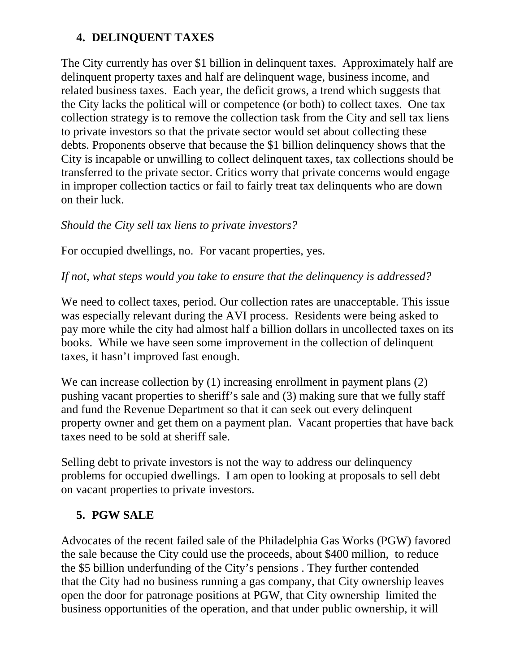### **4. DELINQUENT TAXES**

The City currently has over \$1 billion in delinquent taxes. Approximately half are delinquent property taxes and half are delinquent wage, business income, and related business taxes. Each year, the deficit grows, a trend which suggests that the City lacks the political will or competence (or both) to collect taxes. One tax collection strategy is to remove the collection task from the City and sell tax liens to private investors so that the private sector would set about collecting these debts. Proponents observe that because the \$1 billion delinquency shows that the City is incapable or unwilling to collect delinquent taxes, tax collections should be transferred to the private sector. Critics worry that private concerns would engage in improper collection tactics or fail to fairly treat tax delinquents who are down on their luck.

### *Should the City sell tax liens to private investors?*

For occupied dwellings, no. For vacant properties, yes.

#### *If not, what steps would you take to ensure that the delinquency is addressed?*

We need to collect taxes, period. Our collection rates are unacceptable. This issue was especially relevant during the AVI process. Residents were being asked to pay more while the city had almost half a billion dollars in uncollected taxes on its books. While we have seen some improvement in the collection of delinquent taxes, it hasn't improved fast enough.

We can increase collection by (1) increasing enrollment in payment plans (2) pushing vacant properties to sheriff's sale and (3) making sure that we fully staff and fund the Revenue Department so that it can seek out every delinquent property owner and get them on a payment plan. Vacant properties that have back taxes need to be sold at sheriff sale.

Selling debt to private investors is not the way to address our delinquency problems for occupied dwellings. I am open to looking at proposals to sell debt on vacant properties to private investors.

# **5. PGW SALE**

Advocates of the recent failed sale of the Philadelphia Gas Works (PGW) favored the sale because the City could use the proceeds, about \$400 million, to reduce the \$5 billion underfunding of the City's pensions . They further contended that the City had no business running a gas company, that City ownership leaves open the door for patronage positions at PGW, that City ownership limited the business opportunities of the operation, and that under public ownership, it will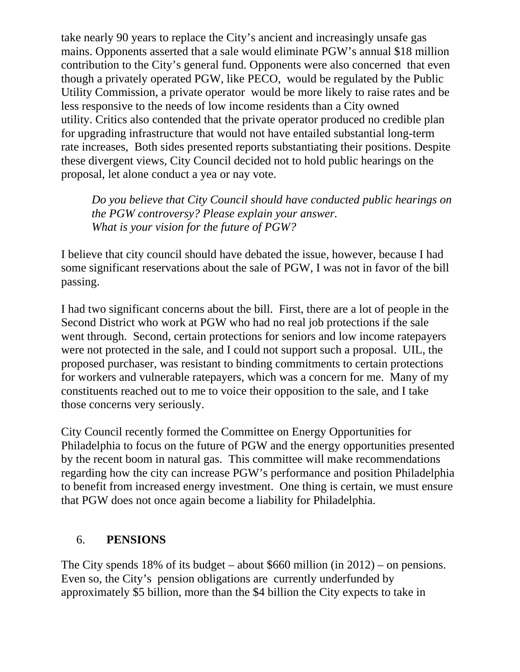take nearly 90 years to replace the City's ancient and increasingly unsafe gas mains. Opponents asserted that a sale would eliminate PGW's annual \$18 million contribution to the City's general fund. Opponents were also concerned that even though a privately operated PGW, like PECO, would be regulated by the Public Utility Commission, a private operator would be more likely to raise rates and be less responsive to the needs of low income residents than a City owned utility. Critics also contended that the private operator produced no credible plan for upgrading infrastructure that would not have entailed substantial long-term rate increases, Both sides presented reports substantiating their positions. Despite these divergent views, City Council decided not to hold public hearings on the proposal, let alone conduct a yea or nay vote.

*Do you believe that City Council should have conducted public hearings on the PGW controversy? Please explain your answer. What is your vision for the future of PGW?* 

I believe that city council should have debated the issue, however, because I had some significant reservations about the sale of PGW, I was not in favor of the bill passing.

I had two significant concerns about the bill. First, there are a lot of people in the Second District who work at PGW who had no real job protections if the sale went through. Second, certain protections for seniors and low income ratepayers were not protected in the sale, and I could not support such a proposal. UIL, the proposed purchaser, was resistant to binding commitments to certain protections for workers and vulnerable ratepayers, which was a concern for me. Many of my constituents reached out to me to voice their opposition to the sale, and I take those concerns very seriously.

City Council recently formed the Committee on Energy Opportunities for Philadelphia to focus on the future of PGW and the energy opportunities presented by the recent boom in natural gas. This committee will make recommendations regarding how the city can increase PGW's performance and position Philadelphia to benefit from increased energy investment. One thing is certain, we must ensure that PGW does not once again become a liability for Philadelphia.

#### 6. **PENSIONS**

The City spends 18% of its budget – about \$660 million (in 2012) – on pensions. Even so, the City's pension obligations are currently underfunded by approximately \$5 billion, more than the \$4 billion the City expects to take in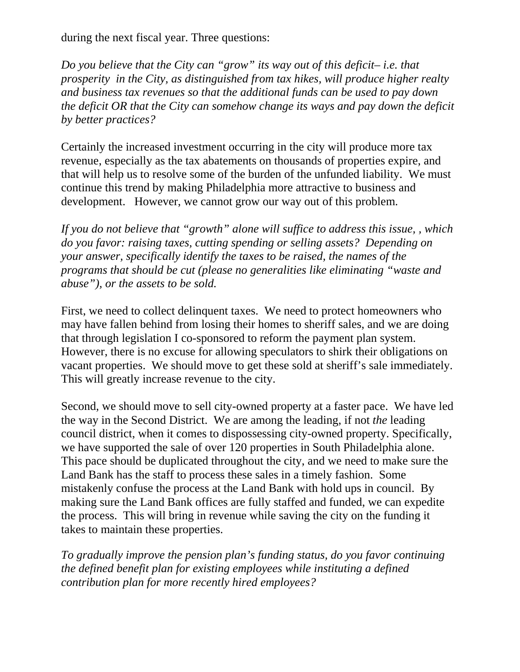during the next fiscal year. Three questions:

*Do you believe that the City can "grow" its way out of this deficit– i.e. that prosperity in the City, as distinguished from tax hikes, will produce higher realty and business tax revenues so that the additional funds can be used to pay down the deficit OR that the City can somehow change its ways and pay down the deficit by better practices?*

Certainly the increased investment occurring in the city will produce more tax revenue, especially as the tax abatements on thousands of properties expire, and that will help us to resolve some of the burden of the unfunded liability. We must continue this trend by making Philadelphia more attractive to business and development. However, we cannot grow our way out of this problem.

*If you do not believe that "growth" alone will suffice to address this issue, , which do you favor: raising taxes, cutting spending or selling assets? Depending on your answer, specifically identify the taxes to be raised, the names of the programs that should be cut (please no generalities like eliminating "waste and abuse"), or the assets to be sold.* 

First, we need to collect delinquent taxes. We need to protect homeowners who may have fallen behind from losing their homes to sheriff sales, and we are doing that through legislation I co-sponsored to reform the payment plan system. However, there is no excuse for allowing speculators to shirk their obligations on vacant properties. We should move to get these sold at sheriff's sale immediately. This will greatly increase revenue to the city.

Second, we should move to sell city-owned property at a faster pace. We have led the way in the Second District. We are among the leading, if not *the* leading council district, when it comes to dispossessing city-owned property. Specifically, we have supported the sale of over 120 properties in South Philadelphia alone. This pace should be duplicated throughout the city, and we need to make sure the Land Bank has the staff to process these sales in a timely fashion. Some mistakenly confuse the process at the Land Bank with hold ups in council. By making sure the Land Bank offices are fully staffed and funded, we can expedite the process. This will bring in revenue while saving the city on the funding it takes to maintain these properties.

*To gradually improve the pension plan's funding status, do you favor continuing the defined benefit plan for existing employees while instituting a defined contribution plan for more recently hired employees?*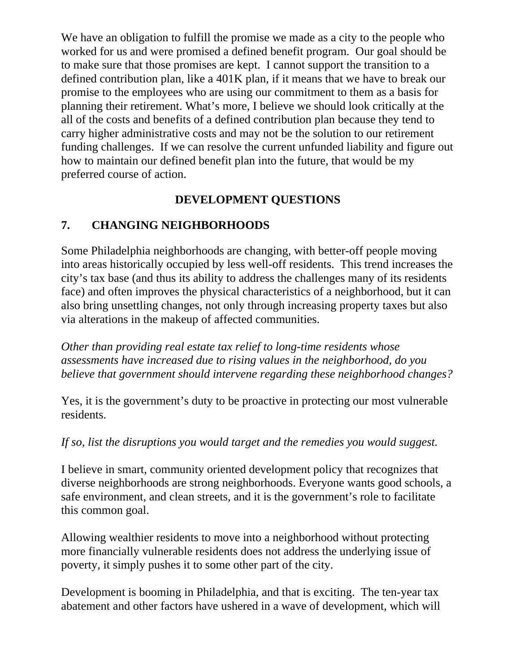We have an obligation to fulfill the promise we made as a city to the people who worked for us and were promised a defined benefit program. Our goal should be to make sure that those promises are kept. I cannot support the transition to a defined contribution plan, like a 401K plan, if it means that we have to break our promise to the employees who are using our commitment to them as a basis for planning their retirement. What's more, I believe we should look critically at the all of the costs and benefits of a defined contribution plan because they tend to carry higher administrative costs and may not be the solution to our retirement funding challenges. If we can resolve the current unfunded liability and figure out how to maintain our defined benefit plan into the future, that would be my preferred course of action.

# **DEVELOPMENT QUESTIONS**

# **7. CHANGING NEIGHBORHOODS**

Some Philadelphia neighborhoods are changing, with better-off people moving into areas historically occupied by less well-off residents. This trend increases the city's tax base (and thus its ability to address the challenges many of its residents face) and often improves the physical characteristics of a neighborhood, but it can also bring unsettling changes, not only through increasing property taxes but also via alterations in the makeup of affected communities.

*Other than providing real estate tax relief to long-time residents whose assessments have increased due to rising values in the neighborhood, do you believe that government should intervene regarding these neighborhood changes?* 

Yes, it is the government's duty to be proactive in protecting our most vulnerable residents.

#### *If so, list the disruptions you would target and the remedies you would suggest.*

I believe in smart, community oriented development policy that recognizes that diverse neighborhoods are strong neighborhoods. Everyone wants good schools, a safe environment, and clean streets, and it is the government's role to facilitate this common goal.

Allowing wealthier residents to move into a neighborhood without protecting more financially vulnerable residents does not address the underlying issue of poverty, it simply pushes it to some other part of the city.

Development is booming in Philadelphia, and that is exciting. The ten-year tax abatement and other factors have ushered in a wave of development, which will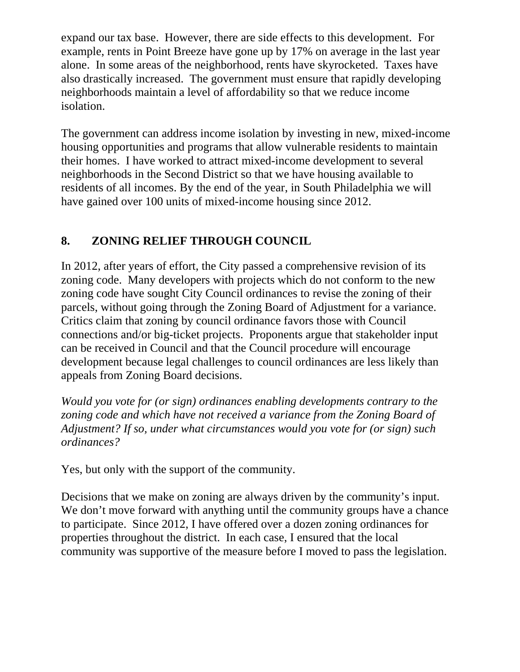expand our tax base. However, there are side effects to this development. For example, rents in Point Breeze have gone up by 17% on average in the last year alone. In some areas of the neighborhood, rents have skyrocketed. Taxes have also drastically increased. The government must ensure that rapidly developing neighborhoods maintain a level of affordability so that we reduce income isolation.

The government can address income isolation by investing in new, mixed-income housing opportunities and programs that allow vulnerable residents to maintain their homes. I have worked to attract mixed-income development to several neighborhoods in the Second District so that we have housing available to residents of all incomes. By the end of the year, in South Philadelphia we will have gained over 100 units of mixed-income housing since 2012.

# **8. ZONING RELIEF THROUGH COUNCIL**

In 2012, after years of effort, the City passed a comprehensive revision of its zoning code. Many developers with projects which do not conform to the new zoning code have sought City Council ordinances to revise the zoning of their parcels, without going through the Zoning Board of Adjustment for a variance. Critics claim that zoning by council ordinance favors those with Council connections and/or big-ticket projects. Proponents argue that stakeholder input can be received in Council and that the Council procedure will encourage development because legal challenges to council ordinances are less likely than appeals from Zoning Board decisions.

*Would you vote for (or sign) ordinances enabling developments contrary to the zoning code and which have not received a variance from the Zoning Board of Adjustment? If so, under what circumstances would you vote for (or sign) such ordinances?* 

Yes, but only with the support of the community.

Decisions that we make on zoning are always driven by the community's input. We don't move forward with anything until the community groups have a chance to participate. Since 2012, I have offered over a dozen zoning ordinances for properties throughout the district. In each case, I ensured that the local community was supportive of the measure before I moved to pass the legislation.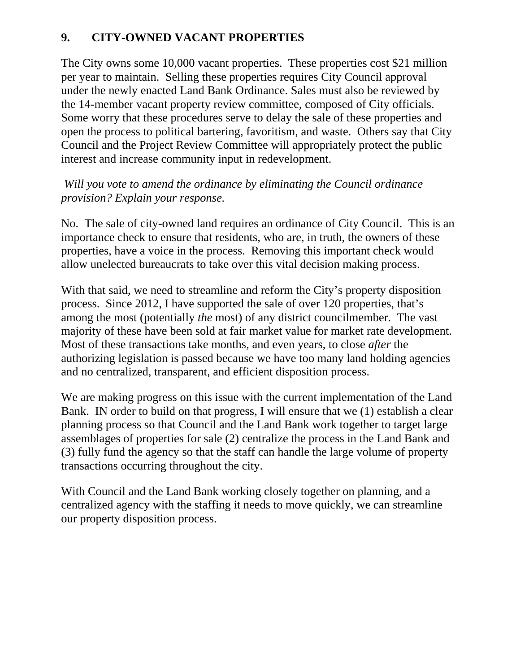#### **9. CITY-OWNED VACANT PROPERTIES**

The City owns some 10,000 vacant properties. These properties cost \$21 million per year to maintain. Selling these properties requires City Council approval under the newly enacted Land Bank Ordinance. Sales must also be reviewed by the 14-member vacant property review committee, composed of City officials. Some worry that these procedures serve to delay the sale of these properties and open the process to political bartering, favoritism, and waste. Others say that City Council and the Project Review Committee will appropriately protect the public interest and increase community input in redevelopment.

#### *Will you vote to amend the ordinance by eliminating the Council ordinance provision? Explain your response.*

No. The sale of city-owned land requires an ordinance of City Council. This is an importance check to ensure that residents, who are, in truth, the owners of these properties, have a voice in the process. Removing this important check would allow unelected bureaucrats to take over this vital decision making process.

With that said, we need to streamline and reform the City's property disposition process. Since 2012, I have supported the sale of over 120 properties, that's among the most (potentially *the* most) of any district councilmember. The vast majority of these have been sold at fair market value for market rate development. Most of these transactions take months, and even years, to close *after* the authorizing legislation is passed because we have too many land holding agencies and no centralized, transparent, and efficient disposition process.

We are making progress on this issue with the current implementation of the Land Bank. IN order to build on that progress, I will ensure that we (1) establish a clear planning process so that Council and the Land Bank work together to target large assemblages of properties for sale (2) centralize the process in the Land Bank and (3) fully fund the agency so that the staff can handle the large volume of property transactions occurring throughout the city.

With Council and the Land Bank working closely together on planning, and a centralized agency with the staffing it needs to move quickly, we can streamline our property disposition process.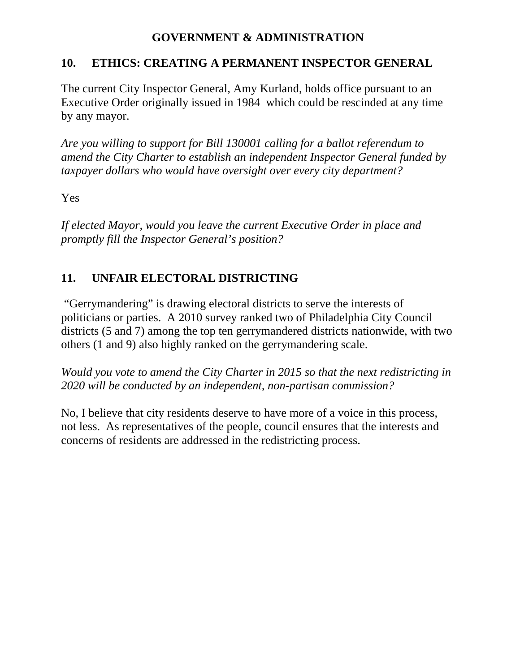#### **GOVERNMENT & ADMINISTRATION**

#### **10. ETHICS: CREATING A PERMANENT INSPECTOR GENERAL**

The current City Inspector General, Amy Kurland, holds office pursuant to an Executive Order originally issued in 1984 which could be rescinded at any time by any mayor.

*Are you willing to support for Bill 130001 calling for a ballot referendum to amend the City Charter to establish an independent Inspector General funded by taxpayer dollars who would have oversight over every city department?* 

#### Yes

*If elected Mayor, would you leave the current Executive Order in place and promptly fill the Inspector General's position?* 

### **11. UNFAIR ELECTORAL DISTRICTING**

 "Gerrymandering" is drawing electoral districts to serve the interests of politicians or parties. A 2010 survey ranked two of Philadelphia City Council districts (5 and 7) among the top ten gerrymandered districts nationwide, with two others (1 and 9) also highly ranked on the gerrymandering scale.

*Would you vote to amend the City Charter in 2015 so that the next redistricting in 2020 will be conducted by an independent, non-partisan commission?* 

No, I believe that city residents deserve to have more of a voice in this process, not less. As representatives of the people, council ensures that the interests and concerns of residents are addressed in the redistricting process.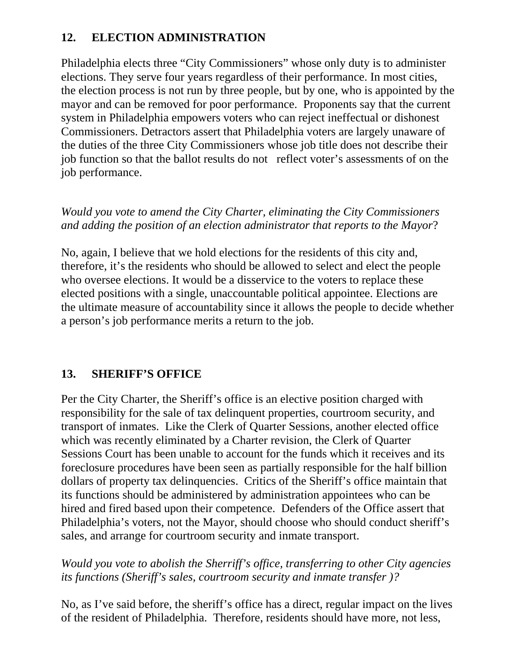### **12. ELECTION ADMINISTRATION**

Philadelphia elects three "City Commissioners" whose only duty is to administer elections. They serve four years regardless of their performance. In most cities, the election process is not run by three people, but by one, who is appointed by the mayor and can be removed for poor performance. Proponents say that the current system in Philadelphia empowers voters who can reject ineffectual or dishonest Commissioners. Detractors assert that Philadelphia voters are largely unaware of the duties of the three City Commissioners whose job title does not describe their job function so that the ballot results do not reflect voter's assessments of on the job performance.

#### *Would you vote to amend the City Charter, eliminating the City Commissioners and adding the position of an election administrator that reports to the Mayor*?

No, again, I believe that we hold elections for the residents of this city and, therefore, it's the residents who should be allowed to select and elect the people who oversee elections. It would be a disservice to the voters to replace these elected positions with a single, unaccountable political appointee. Elections are the ultimate measure of accountability since it allows the people to decide whether a person's job performance merits a return to the job.

# **13. SHERIFF'S OFFICE**

Per the City Charter, the Sheriff's office is an elective position charged with responsibility for the sale of tax delinquent properties, courtroom security, and transport of inmates. Like the Clerk of Quarter Sessions, another elected office which was recently eliminated by a Charter revision, the Clerk of Quarter Sessions Court has been unable to account for the funds which it receives and its foreclosure procedures have been seen as partially responsible for the half billion dollars of property tax delinquencies. Critics of the Sheriff's office maintain that its functions should be administered by administration appointees who can be hired and fired based upon their competence. Defenders of the Office assert that Philadelphia's voters, not the Mayor, should choose who should conduct sheriff's sales, and arrange for courtroom security and inmate transport.

*Would you vote to abolish the Sherriff's office, transferring to other City agencies its functions (Sheriff's sales, courtroom security and inmate transfer )?* 

No, as I've said before, the sheriff's office has a direct, regular impact on the lives of the resident of Philadelphia. Therefore, residents should have more, not less,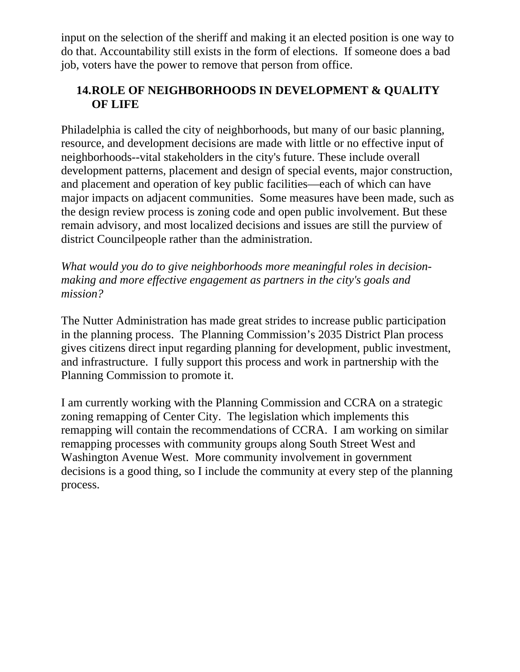input on the selection of the sheriff and making it an elected position is one way to do that. Accountability still exists in the form of elections. If someone does a bad job, voters have the power to remove that person from office.

# **14.ROLE OF NEIGHBORHOODS IN DEVELOPMENT & QUALITY OF LIFE**

Philadelphia is called the city of neighborhoods, but many of our basic planning, resource, and development decisions are made with little or no effective input of neighborhoods--vital stakeholders in the city's future. These include overall development patterns, placement and design of special events, major construction, and placement and operation of key public facilities—each of which can have major impacts on adjacent communities. Some measures have been made, such as the design review process is zoning code and open public involvement. But these remain advisory, and most localized decisions and issues are still the purview of district Councilpeople rather than the administration.

*What would you do to give neighborhoods more meaningful roles in decisionmaking and more effective engagement as partners in the city's goals and mission?* 

The Nutter Administration has made great strides to increase public participation in the planning process. The Planning Commission's 2035 District Plan process gives citizens direct input regarding planning for development, public investment, and infrastructure. I fully support this process and work in partnership with the Planning Commission to promote it.

I am currently working with the Planning Commission and CCRA on a strategic zoning remapping of Center City. The legislation which implements this remapping will contain the recommendations of CCRA. I am working on similar remapping processes with community groups along South Street West and Washington Avenue West. More community involvement in government decisions is a good thing, so I include the community at every step of the planning process.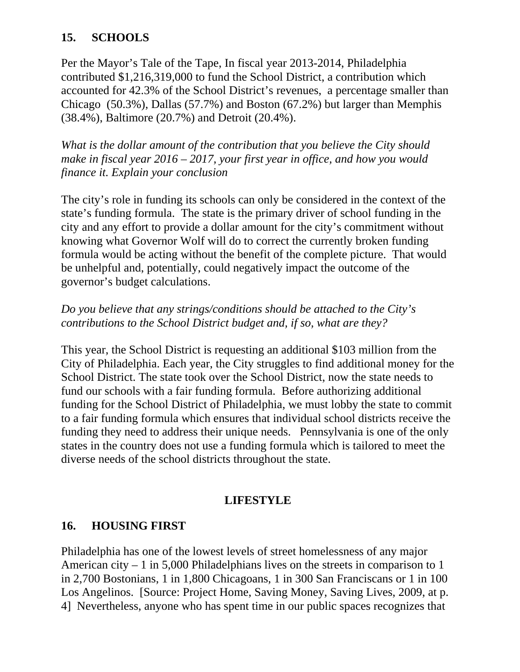### **15. SCHOOLS**

Per the Mayor's Tale of the Tape, In fiscal year 2013-2014, Philadelphia contributed \$1,216,319,000 to fund the School District, a contribution which accounted for 42.3% of the School District's revenues, a percentage smaller than Chicago (50.3%), Dallas (57.7%) and Boston (67.2%) but larger than Memphis (38.4%), Baltimore (20.7%) and Detroit (20.4%).

*What is the dollar amount of the contribution that you believe the City should make in fiscal year 2016 – 2017, your first year in office, and how you would finance it. Explain your conclusion* 

The city's role in funding its schools can only be considered in the context of the state's funding formula. The state is the primary driver of school funding in the city and any effort to provide a dollar amount for the city's commitment without knowing what Governor Wolf will do to correct the currently broken funding formula would be acting without the benefit of the complete picture. That would be unhelpful and, potentially, could negatively impact the outcome of the governor's budget calculations.

#### *Do you believe that any strings/conditions should be attached to the City's contributions to the School District budget and, if so, what are they?*

This year, the School District is requesting an additional \$103 million from the City of Philadelphia. Each year, the City struggles to find additional money for the School District. The state took over the School District, now the state needs to fund our schools with a fair funding formula. Before authorizing additional funding for the School District of Philadelphia, we must lobby the state to commit to a fair funding formula which ensures that individual school districts receive the funding they need to address their unique needs. Pennsylvania is one of the only states in the country does not use a funding formula which is tailored to meet the diverse needs of the school districts throughout the state.

# **LIFESTYLE**

# **16. HOUSING FIRST**

Philadelphia has one of the lowest levels of street homelessness of any major American city – 1 in 5,000 Philadelphians lives on the streets in comparison to 1 in 2,700 Bostonians, 1 in 1,800 Chicagoans, 1 in 300 San Franciscans or 1 in 100 Los Angelinos. [Source: Project Home, Saving Money, Saving Lives, 2009, at p. 4] Nevertheless, anyone who has spent time in our public spaces recognizes that